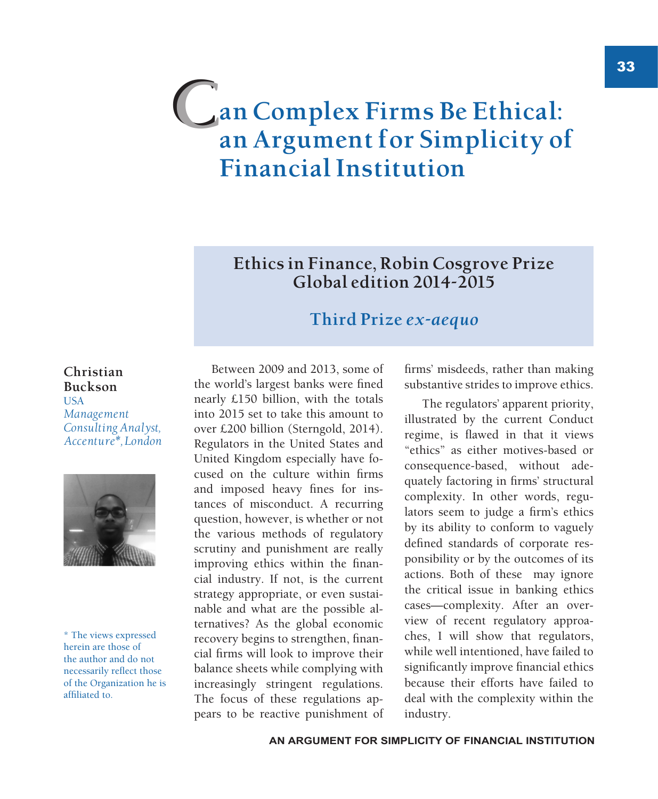# **an Complex Firms Be Ethical: an Argument for Simplicity of Financial Institution C**

**Ethics in Finance, Robin Cosgrove Prize Global edition 2014-2015**

### **Third Prize** *ex-aequo*

#### **Christian Buckson USA** *Management Consulting Analyst, Accenture\*, London*



\* The views expressed herein are those of the author and do not necessarily reflect those of the Organization he is affiliated to.

Between 2009 and 2013, some of the world's largest banks were fined nearly £150 billion, with the totals into 2015 set to take this amount to over £200 billion (Sterngold, 2014). Regulators in the United States and United Kingdom especially have focused on the culture within firms and imposed heavy fines for instances of misconduct. A recurring question, however, is whether or not the various methods of regulatory scrutiny and punishment are really improving ethics within the financial industry. If not, is the current strategy appropriate, or even sustainable and what are the possible alternatives? As the global economic recovery begins to strengthen, financial firms will look to improve their balance sheets while complying with increasingly stringent regulations. The focus of these regulations appears to be reactive punishment of

firms' misdeeds, rather than making substantive strides to improve ethics.

The regulators' apparent priority, illustrated by the current Conduct regime, is flawed in that it views "ethics" as either motives-based or consequence-based, without adequately factoring in firms' structural complexity. In other words, regulators seem to judge a firm's ethics by its ability to conform to vaguely defined standards of corporate responsibility or by the outcomes of its actions. Both of these may ignore the critical issue in banking ethics cases—complexity. After an overview of recent regulatory approaches, I will show that regulators, while well intentioned, have failed to significantly improve financial ethics because their efforts have failed to deal with the complexity within the industry.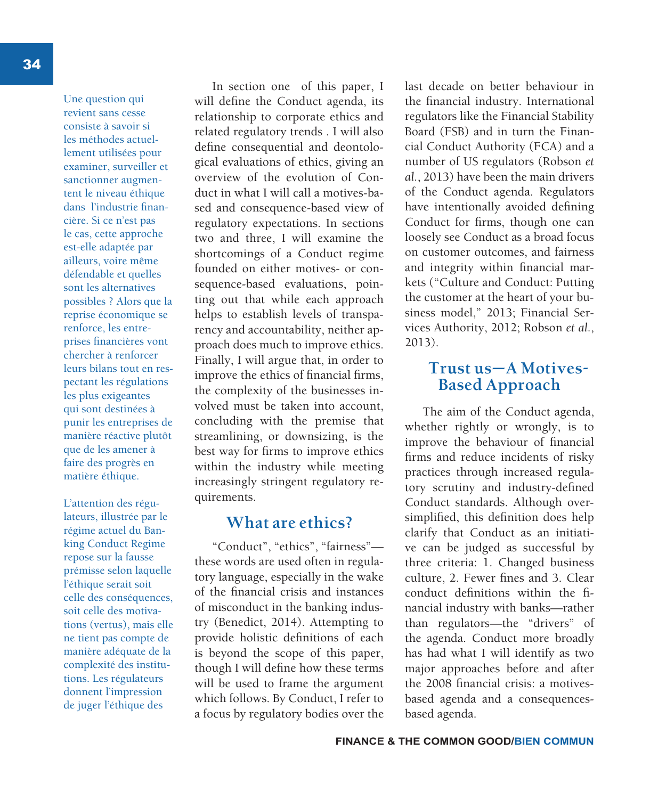34

Une question qui revient sans cesse consiste à savoir si les méthodes actuellement utilisées pour examiner, surveiller et sanctionner augmentent le niveau éthique dans l'industrie financière. Si ce n'est pas le cas, cette approche est-elle adaptée par ailleurs, voire même défendable et quelles sont les alternatives possibles ? Alors que la reprise économique se renforce, les entreprises financières vont chercher à renforcer leurs bilans tout en respectant les régulations les plus exigeantes qui sont destinées à punir les entreprises de manière réactive plutôt que de les amener à faire des progrès en matière éthique.

L'attention des régulateurs, illustrée par le régime actuel du Banking Conduct Regime repose sur la fausse prémisse selon laquelle l'éthique serait soit celle des conséquences, soit celle des motivations (vertus), mais elle ne tient pas compte de manière adéquate de la complexité des institutions. Les régulateurs donnent l'impression de juger l'éthique des

In section one of this paper, I will define the Conduct agenda, its relationship to corporate ethics and related regulatory trends . I will also define consequential and deontological evaluations of ethics, giving an overview of the evolution of Conduct in what I will call a motives-based and consequence-based view of regulatory expectations. In sections two and three, I will examine the shortcomings of a Conduct regime founded on either motives- or consequence-based evaluations, pointing out that while each approach helps to establish levels of transparency and accountability, neither approach does much to improve ethics. Finally, I will argue that, in order to improve the ethics of financial firms, the complexity of the businesses involved must be taken into account, concluding with the premise that streamlining, or downsizing, is the best way for firms to improve ethics within the industry while meeting increasingly stringent regulatory requirements.

#### **What are ethics?**

"Conduct", "ethics", "fairness" these words are used often in regulatory language, especially in the wake of the financial crisis and instances of misconduct in the banking industry (Benedict, 2014). Attempting to provide holistic definitions of each is beyond the scope of this paper, though I will define how these terms will be used to frame the argument which follows. By Conduct, I refer to a focus by regulatory bodies over the

last decade on better behaviour in the financial industry. International regulators like the Financial Stability Board (FSB) and in turn the Financial Conduct Authority (FCA) and a number of US regulators (Robson *et al.*, 2013) have been the main drivers of the Conduct agenda. Regulators have intentionally avoided defining Conduct for firms, though one can loosely see Conduct as a broad focus on customer outcomes, and fairness and integrity within financial markets ("Culture and Conduct: Putting the customer at the heart of your business model," 2013; Financial Services Authority, 2012; Robson *et al.*, 2013).

#### **Trust us—A Motives-Based Approach**

The aim of the Conduct agenda, whether rightly or wrongly, is to improve the behaviour of financial firms and reduce incidents of risky practices through increased regulatory scrutiny and industry-defined Conduct standards. Although oversimplified, this definition does help clarify that Conduct as an initiative can be judged as successful by three criteria: 1. Changed business culture, 2. Fewer fines and 3. Clear conduct definitions within the financial industry with banks—rather than regulators—the "drivers" of the agenda. Conduct more broadly has had what I will identify as two major approaches before and after the 2008 financial crisis: a motivesbased agenda and a consequencesbased agenda.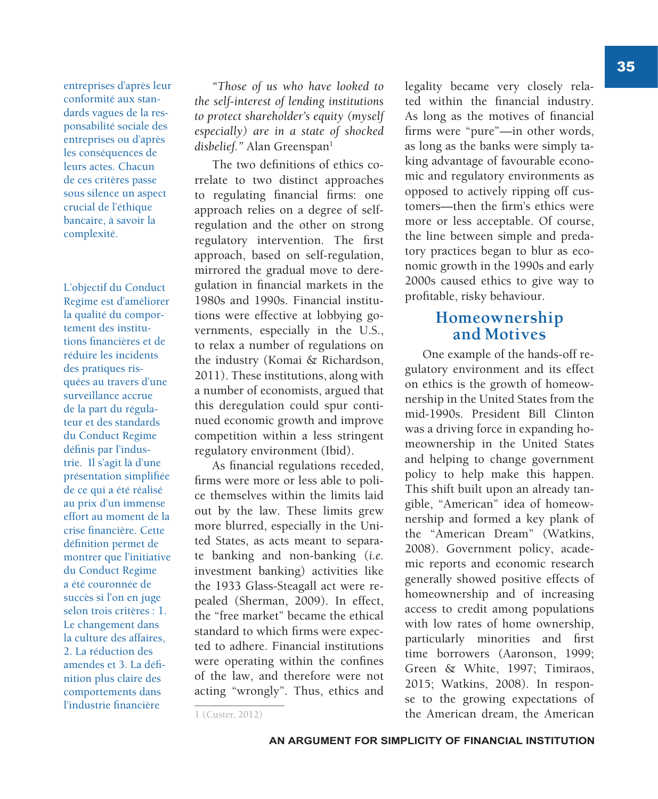entreprises d'après leur conformité aux standards vagues de la responsabilité sociale des entreprises ou d'après les conséquences de leurs actes. Chacun de ces critères passe sous silence un aspect crucial de l'éthique bancaire, à savoir la complexité.

L'objectif du Conduct Regime est d'améliorer la qualité du comportement des institutions financières et de réduire les incidents des pratiques risquées au travers d'une surveillance accrue de la part du régulateur et des standards du Conduct Regime définis par l'industrie. Il s'agit là d'une présentation simplifiée de ce qui a été réalisé au prix d'un immense effort au moment de la crise financière. Cette définition permet de montrer que l'initiative du Conduct Regime a été couronnée de succès si l'on en juge selon trois critères : 1. Le changement dans la culture des affaires, 2. La réduction des amendes et 3. La définition plus claire des comportements dans l'industrie financière

*"Those of us who have looked to the self-interest of lending institutions to protect shareholder's equity (myself especially) are in a state of shocked*  disbelief." Alan Greenspan<sup>1</sup>

The two definitions of ethics correlate to two distinct approaches to regulating financial firms: one approach relies on a degree of selfregulation and the other on strong regulatory intervention. The first approach, based on self-regulation, mirrored the gradual move to deregulation in financial markets in the 1980s and 1990s. Financial institutions were effective at lobbying governments, especially in the U.S., to relax a number of regulations on the industry (Komai & Richardson, 2011). These institutions, along with a number of economists, argued that this deregulation could spur continued economic growth and improve competition within a less stringent regulatory environment (Ibid).

As financial regulations receded, firms were more or less able to police themselves within the limits laid out by the law. These limits grew more blurred, especially in the United States, as acts meant to separate banking and non-banking (*i.e.* investment banking) activities like the 1933 Glass-Steagall act were repealed (Sherman, 2009). In effect, the "free market" became the ethical standard to which firms were expected to adhere. Financial institutions were operating within the confines of the law, and therefore were not acting "wrongly". Thus, ethics and

#### **Homeownership and Motives**

One example of the hands-off regulatory environment and its effect on ethics is the growth of homeownership in the United States from the mid-1990s. President Bill Clinton was a driving force in expanding homeownership in the United States and helping to change government policy to help make this happen. This shift built upon an already tangible, "American" idea of homeownership and formed a key plank of the "American Dream" (Watkins, 2008). Government policy, academic reports and economic research generally showed positive effects of homeownership and of increasing access to credit among populations with low rates of home ownership, particularly minorities and first time borrowers (Aaronson, 1999; Green & White, 1997; Timiraos, 2015; Watkins, 2008). In response to the growing expectations of the American dream, the American

legality became very closely related within the financial industry. As long as the motives of financial firms were "pure"—in other words, as long as the banks were simply taking advantage of favourable economic and regulatory environments as opposed to actively ripping off customers—then the firm's ethics were more or less acceptable. Of course, the line between simple and predatory practices began to blur as economic growth in the 1990s and early 2000s caused ethics to give way to profitable, risky behaviour.

<sup>1 (</sup>Custer, 2012)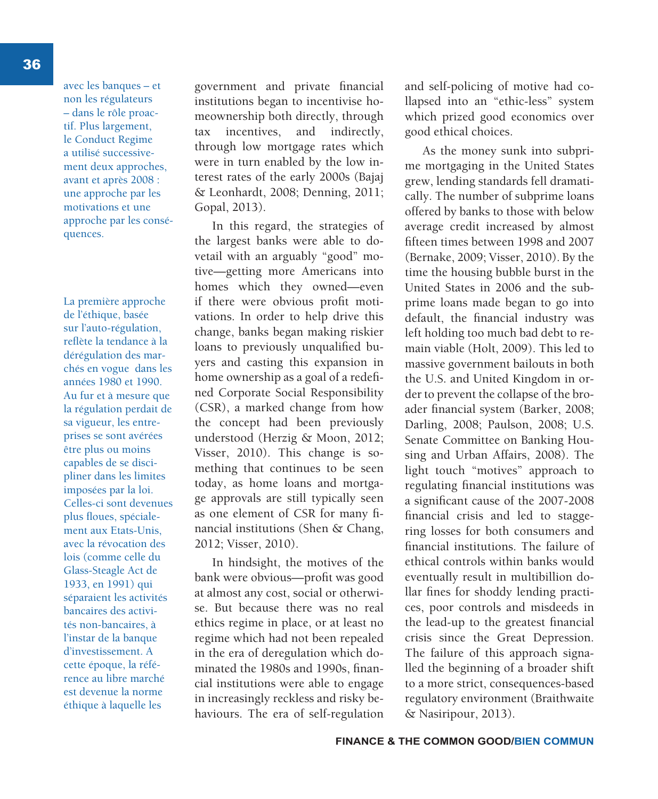avec les banques – et non les régulateurs – dans le rôle proactif. Plus largement, le Conduct Regime a utilisé successivement deux approches, avant et après 2008 : une approche par les motivations et une approche par les conséquences.

La première approche de l'éthique, basée sur l'auto-régulation, reflète la tendance à la dérégulation des marchés en vogue dans les années 1980 et 1990. Au fur et à mesure que la régulation perdait de sa vigueur, les entreprises se sont avérées être plus ou moins capables de se discipliner dans les limites imposées par la loi. Celles-ci sont devenues plus floues, spécialement aux Etats-Unis, avec la révocation des lois (comme celle du Glass-Steagle Act de 1933, en 1991) qui séparaient les activités bancaires des activités non-bancaires, à l'instar de la banque d'investissement. A cette époque, la référence au libre marché est devenue la norme éthique à laquelle les

government and private financial institutions began to incentivise homeownership both directly, through tax incentives, and indirectly, through low mortgage rates which were in turn enabled by the low interest rates of the early 2000s (Bajaj & Leonhardt, 2008; Denning, 2011; Gopal, 2013).

In this regard, the strategies of the largest banks were able to dovetail with an arguably "good" motive—getting more Americans into homes which they owned—even if there were obvious profit motivations. In order to help drive this change, banks began making riskier loans to previously unqualified buyers and casting this expansion in home ownership as a goal of a redefined Corporate Social Responsibility (CSR), a marked change from how the concept had been previously understood (Herzig & Moon, 2012; Visser, 2010). This change is something that continues to be seen today, as home loans and mortgage approvals are still typically seen as one element of CSR for many financial institutions (Shen & Chang, 2012; Visser, 2010).

In hindsight, the motives of the bank were obvious—profit was good at almost any cost, social or otherwise. But because there was no real ethics regime in place, or at least no regime which had not been repealed in the era of deregulation which dominated the 1980s and 1990s, financial institutions were able to engage in increasingly reckless and risky behaviours. The era of self-regulation and self-policing of motive had collapsed into an "ethic-less" system which prized good economics over good ethical choices.

As the money sunk into subprime mortgaging in the United States grew, lending standards fell dramatically. The number of subprime loans offered by banks to those with below average credit increased by almost fifteen times between 1998 and 2007 (Bernake, 2009; Visser, 2010). By the time the housing bubble burst in the United States in 2006 and the subprime loans made began to go into default, the financial industry was left holding too much bad debt to remain viable (Holt, 2009). This led to massive government bailouts in both the U.S. and United Kingdom in order to prevent the collapse of the broader financial system (Barker, 2008; Darling, 2008; Paulson, 2008; U.S. Senate Committee on Banking Housing and Urban Affairs, 2008). The light touch "motives" approach to regulating financial institutions was a significant cause of the 2007-2008 financial crisis and led to staggering losses for both consumers and financial institutions. The failure of ethical controls within banks would eventually result in multibillion dollar fines for shoddy lending practices, poor controls and misdeeds in the lead-up to the greatest financial crisis since the Great Depression. The failure of this approach signalled the beginning of a broader shift to a more strict, consequences-based regulatory environment (Braithwaite & Nasiripour, 2013).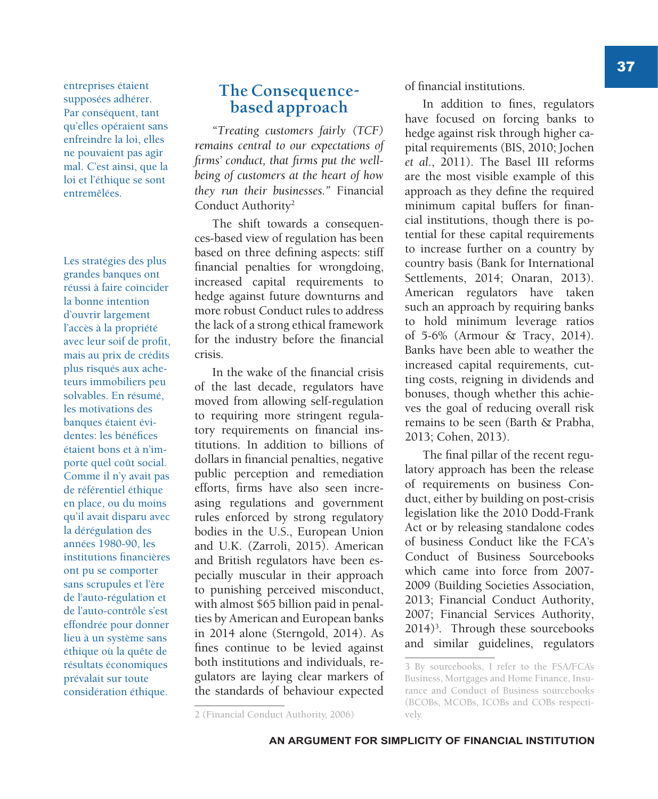entreprises étaient supposées adhérer. Par conséquent, tant qu'elles opéraient sans enfreindre la loi, elles ne pouvaient pas agir mal. C'est ainsi, que la loi et l'éthique se sont entremêlées.

Les stratégies des plus grandes banques ont réussi à faire coïncider la bonne intention d'ouvrir largement l'accès à la propriété avec leur soif de profit, mais au prix de crédits plus risqués aux acheteurs immobiliers peu solvables. En résumé, les motivations des banques étaient évidentes: les bénéfices étaient bons et à n'importe quel coût social. Comme il n'y avait pas de référentiel éthique en place, ou du moins qu'il avait disparu avec la dérégulation des années 1980-90, les institutions financières ont pu se comporter sans scrupules et l'ère de l'auto-régulation et de l'auto-contrôle s'est effondrée pour donner lieu à un système sans éthique où la quête de résultats économiques prévalait sur toute considération éthique.

#### **The Consequencebased approach**

*"Treating customers fairly (TCF) remains central to our expectations of firms' conduct, that firms put the wellbeing of customers at the heart of how they run their businesses."* Financial Conduct Authority<sup>2</sup>

The shift towards a consequences-based view of regulation has been based on three defining aspects: stiff financial penalties for wrongdoing, increased capital requirements to hedge against future downturns and more robust Conduct rules to address the lack of a strong ethical framework for the industry before the financial crisis.

In the wake of the financial crisis of the last decade, regulators have moved from allowing self-regulation to requiring more stringent regulatory requirements on financial institutions. In addition to billions of dollars in financial penalties, negative public perception and remediation efforts, firms have also seen increasing regulations and government rules enforced by strong regulatory bodies in the U.S., European Union and U.K. (Zarroli, 2015). American and British regulators have been especially muscular in their approach to punishing perceived misconduct, with almost \$65 billion paid in penalties by American and European banks in 2014 alone (Sterngold, 2014). As fines continue to be levied against both institutions and individuals, regulators are laying clear markers of the standards of behaviour expected

In addition to fines, regulators have focused on forcing banks to hedge against risk through higher capital requirements (BIS, 2010; Jochen *et al.*, 2011). The Basel III reforms are the most visible example of this approach as they define the required minimum capital buffers for financial institutions, though there is potential for these capital requirements to increase further on a country by country basis (Bank for International Settlements, 2014; Onaran, 2013). American regulators have taken such an approach by requiring banks to hold minimum leverage ratios of 5-6% (Armour & Tracy, 2014). Banks have been able to weather the increased capital requirements, cutting costs, reigning in dividends and bonuses, though whether this achieves the goal of reducing overall risk remains to be seen (Barth & Prabha, 2013; Cohen, 2013).

The final pillar of the recent regulatory approach has been the release of requirements on business Conduct, either by building on post-crisis legislation like the 2010 Dodd-Frank Act or by releasing standalone codes of business Conduct like the FCA's Conduct of Business Sourcebooks which came into force from 2007- 2009 (Building Societies Association, 2013; Financial Conduct Authority, 2007; Financial Services Authority, 2014)3 . Through these sourcebooks and similar guidelines, regulators

of financial institutions.

<sup>3</sup> By sourcebooks, I refer to the FSA/FCA's Business, Mortgages and Home Finance, Insurance and Conduct of Business sourcebooks (BCOBs, MCOBs, ICOBs and COBs respectively.

<sup>2 (</sup>Financial Conduct Authority, 2006)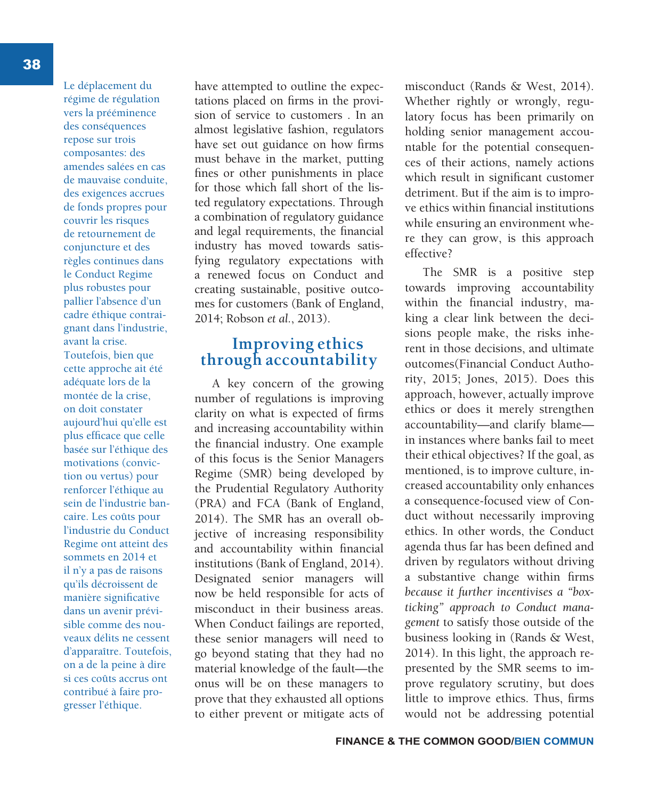Le déplacement du régime de régulation vers la prééminence des conséquences repose sur trois composantes: des amendes salées en cas de mauvaise conduite, des exigences accrues de fonds propres pour couvrir les risques de retournement de conjuncture et des règles continues dans le Conduct Regime plus robustes pour pallier l'absence d'un cadre éthique contraignant dans l'industrie, avant la crise. Toutefois, bien que cette approche ait été adéquate lors de la montée de la crise, on doit constater aujourd'hui qu'elle est plus efficace que celle basée sur l'éthique des motivations (conviction ou vertus) pour renforcer l'éthique au sein de l'industrie bancaire. Les coûts pour l'industrie du Conduct Regime ont atteint des sommets en 2014 et il n'y a pas de raisons qu'ils décroissent de manière significative dans un avenir prévisible comme des nouveaux délits ne cessent d'apparaître. Toutefois, on a de la peine à dire si ces coûts accrus ont contribué à faire progresser l'éthique.

have attempted to outline the expectations placed on firms in the provision of service to customers . In an almost legislative fashion, regulators have set out guidance on how firms must behave in the market, putting fines or other punishments in place for those which fall short of the listed regulatory expectations. Through a combination of regulatory guidance and legal requirements, the financial industry has moved towards satisfying regulatory expectations with a renewed focus on Conduct and creating sustainable, positive outcomes for customers (Bank of England, 2014; Robson *et al.*, 2013).

#### **Improving ethics through accountability**

A key concern of the growing number of regulations is improving clarity on what is expected of firms and increasing accountability within the financial industry. One example of this focus is the Senior Managers Regime (SMR) being developed by the Prudential Regulatory Authority (PRA) and FCA (Bank of England, 2014). The SMR has an overall objective of increasing responsibility and accountability within financial institutions (Bank of England, 2014). Designated senior managers will now be held responsible for acts of misconduct in their business areas. When Conduct failings are reported, these senior managers will need to go beyond stating that they had no material knowledge of the fault—the onus will be on these managers to prove that they exhausted all options to either prevent or mitigate acts of

misconduct (Rands & West, 2014). Whether rightly or wrongly, regulatory focus has been primarily on holding senior management accountable for the potential consequences of their actions, namely actions which result in significant customer detriment. But if the aim is to improve ethics within financial institutions while ensuring an environment where they can grow, is this approach effective?

The SMR is a positive step towards improving accountability within the financial industry, making a clear link between the decisions people make, the risks inherent in those decisions, and ultimate outcomes(Financial Conduct Authority, 2015; Jones, 2015). Does this approach, however, actually improve ethics or does it merely strengthen accountability—and clarify blame in instances where banks fail to meet their ethical objectives? If the goal, as mentioned, is to improve culture, increased accountability only enhances a consequence-focused view of Conduct without necessarily improving ethics. In other words, the Conduct agenda thus far has been defined and driven by regulators without driving a substantive change within firms *because it further incentivises a "boxticking" approach to Conduct management* to satisfy those outside of the business looking in (Rands & West, 2014). In this light, the approach represented by the SMR seems to improve regulatory scrutiny, but does little to improve ethics. Thus, firms would not be addressing potential

38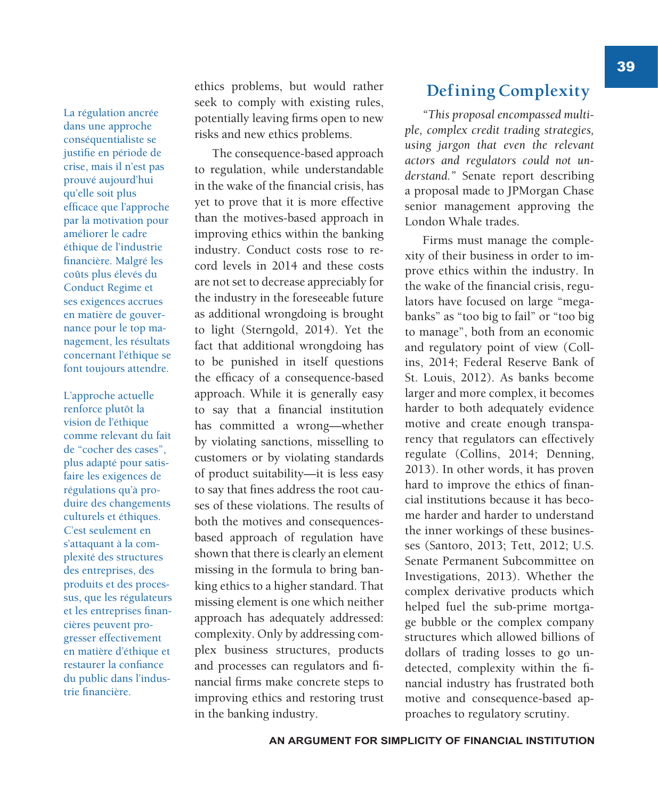La régulation ancrée dans une approche conséquentialiste se justifie en période de crise, mais il n'est pas prouvé aujourd'hui qu'elle soit plus efficace que l'approche par la motivation pour améliorer le cadre éthique de l'industrie financière. Malgré les coûts plus élevés du Conduct Regime et ses exigences accrues en matière de gouvernance pour le top management, les résultats concernant l'éthique se font toujours attendre.

L'approche actuelle renforce plutôt la vision de l'éthique comme relevant du fait de "cocher des cases", plus adapté pour satisfaire les exigences de régulations qu'à produire des changements culturels et éthiques. C'est seulement en s'attaquant à la complexité des structures des entreprises, des produits et des processus, que les régulateurs et les entreprises financières peuvent progresser effectivement en matière d'éthique et restaurer la confiance du public dans l'industrie financière.

ethics problems, but would rather seek to comply with existing rules, potentially leaving firms open to new risks and new ethics problems.

The consequence-based approach to regulation, while understandable in the wake of the financial crisis, has yet to prove that it is more effective than the motives-based approach in improving ethics within the banking industry. Conduct costs rose to record levels in 2014 and these costs are not set to decrease appreciably for the industry in the foreseeable future as additional wrongdoing is brought to light (Sterngold, 2014). Yet the fact that additional wrongdoing has to be punished in itself questions the efficacy of a consequence-based approach. While it is generally easy to say that a financial institution has committed a wrong—whether by violating sanctions, misselling to customers or by violating standards of product suitability—it is less easy to say that fines address the root causes of these violations. The results of both the motives and consequencesbased approach of regulation have shown that there is clearly an element missing in the formula to bring banking ethics to a higher standard. That missing element is one which neither approach has adequately addressed: complexity. Only by addressing complex business structures, products and processes can regulators and financial firms make concrete steps to improving ethics and restoring trust in the banking industry.

#### **Defining Complexity**

*"This proposal encompassed multiple, complex credit trading strategies, using jargon that even the relevant actors and regulators could not understand."* Senate report describing a proposal made to JPMorgan Chase senior management approving the London Whale trades.

Firms must manage the complexity of their business in order to improve ethics within the industry. In the wake of the financial crisis, regulators have focused on large "megabanks" as "too big to fail" or "too big to manage", both from an economic and regulatory point of view (Collins, 2014; Federal Reserve Bank of St. Louis, 2012). As banks become larger and more complex, it becomes harder to both adequately evidence motive and create enough transparency that regulators can effectively regulate (Collins, 2014; Denning, 2013). In other words, it has proven hard to improve the ethics of financial institutions because it has become harder and harder to understand the inner workings of these businesses (Santoro, 2013; Tett, 2012; U.S. Senate Permanent Subcommittee on Investigations, 2013). Whether the complex derivative products which helped fuel the sub-prime mortgage bubble or the complex company structures which allowed billions of dollars of trading losses to go undetected, complexity within the financial industry has frustrated both motive and consequence-based approaches to regulatory scrutiny.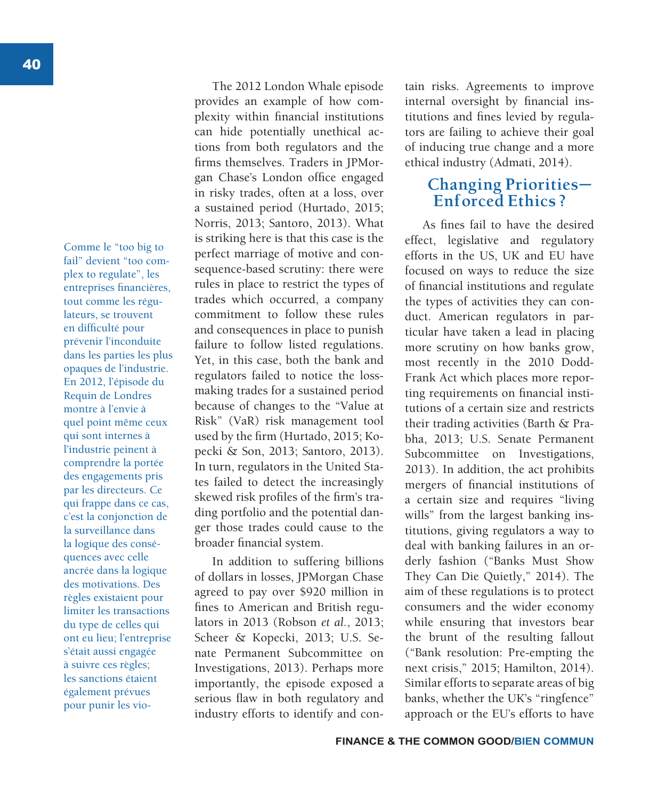Comme le "too big to fail" devient "too complex to regulate", les entreprises financières, tout comme les régulateurs, se trouvent en difficulté pour prévenir l'inconduite dans les parties les plus opaques de l'industrie. En 2012, l'épisode du Requin de Londres montre à l'envie à quel point même ceux qui sont internes à l'industrie peinent à comprendre la portée des engagements pris par les directeurs. Ce qui frappe dans ce cas, c'est la conjonction de la surveillance dans la logique des conséquences avec celle ancrée dans la logique des motivations. Des règles existaient pour limiter les transactions du type de celles qui ont eu lieu; l'entreprise s'était aussi engagée à suivre ces règles; les sanctions étaient également prévues pour punir les vio-

The 2012 London Whale episode provides an example of how complexity within financial institutions can hide potentially unethical actions from both regulators and the firms themselves. Traders in JPMorgan Chase's London office engaged in risky trades, often at a loss, over a sustained period (Hurtado, 2015; Norris, 2013; Santoro, 2013). What is striking here is that this case is the perfect marriage of motive and consequence-based scrutiny: there were rules in place to restrict the types of trades which occurred, a company commitment to follow these rules and consequences in place to punish failure to follow listed regulations. Yet, in this case, both the bank and regulators failed to notice the lossmaking trades for a sustained period because of changes to the "Value at Risk" (VaR) risk management tool used by the firm (Hurtado, 2015; Kopecki & Son, 2013; Santoro, 2013). In turn, regulators in the United States failed to detect the increasingly skewed risk profiles of the firm's trading portfolio and the potential danger those trades could cause to the broader financial system.

In addition to suffering billions of dollars in losses, JPMorgan Chase agreed to pay over \$920 million in fines to American and British regulators in 2013 (Robson *et al.*, 2013; Scheer & Kopecki, 2013; U.S. Senate Permanent Subcommittee on Investigations, 2013). Perhaps more importantly, the episode exposed a serious flaw in both regulatory and industry efforts to identify and con-

tain risks. Agreements to improve internal oversight by financial institutions and fines levied by regulators are failing to achieve their goal of inducing true change and a more ethical industry (Admati, 2014).

### **Changing Priorities— Enforced Ethics ?**

As fines fail to have the desired effect, legislative and regulatory efforts in the US, UK and EU have focused on ways to reduce the size of financial institutions and regulate the types of activities they can conduct. American regulators in particular have taken a lead in placing more scrutiny on how banks grow, most recently in the 2010 Dodd-Frank Act which places more reporting requirements on financial institutions of a certain size and restricts their trading activities (Barth & Prabha, 2013; U.S. Senate Permanent Subcommittee on Investigations, 2013). In addition, the act prohibits mergers of financial institutions of a certain size and requires "living wills" from the largest banking institutions, giving regulators a way to deal with banking failures in an orderly fashion ("Banks Must Show They Can Die Quietly," 2014). The aim of these regulations is to protect consumers and the wider economy while ensuring that investors bear the brunt of the resulting fallout ("Bank resolution: Pre-empting the next crisis," 2015; Hamilton, 2014). Similar efforts to separate areas of big banks, whether the UK's "ringfence" approach or the EU's efforts to have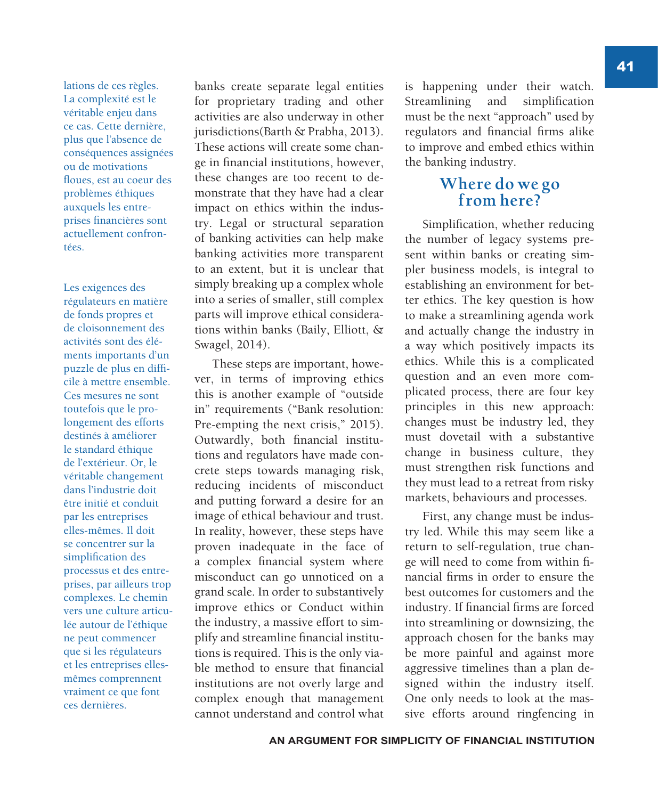lations de ces règles. La complexité est le véritable enjeu dans ce cas. Cette dernière, plus que l'absence de conséquences assignées ou de motivations floues, est au coeur des problèmes éthiques auxquels les entreprises financières sont actuellement confrontées.

Les exigences des régulateurs en matière de fonds propres et de cloisonnement des activités sont des éléments importants d'un puzzle de plus en difficile à mettre ensemble. Ces mesures ne sont toutefois que le prolongement des efforts destinés à améliorer le standard éthique de l'extérieur. Or, le véritable changement dans l'industrie doit être initié et conduit par les entreprises elles-mêmes. Il doit se concentrer sur la simplification des processus et des entreprises, par ailleurs trop complexes. Le chemin vers une culture articulée autour de l'éthique ne peut commencer que si les régulateurs et les entreprises ellesmêmes comprennent vraiment ce que font ces dernières.

banks create separate legal entities for proprietary trading and other activities are also underway in other jurisdictions(Barth & Prabha, 2013). These actions will create some change in financial institutions, however, these changes are too recent to demonstrate that they have had a clear impact on ethics within the industry. Legal or structural separation of banking activities can help make banking activities more transparent to an extent, but it is unclear that simply breaking up a complex whole into a series of smaller, still complex parts will improve ethical considerations within banks (Baily, Elliott, & Swagel, 2014).

These steps are important, however, in terms of improving ethics this is another example of "outside in" requirements ("Bank resolution: Pre-empting the next crisis," 2015). Outwardly, both financial institutions and regulators have made concrete steps towards managing risk, reducing incidents of misconduct and putting forward a desire for an image of ethical behaviour and trust. In reality, however, these steps have proven inadequate in the face of a complex financial system where misconduct can go unnoticed on a grand scale. In order to substantively improve ethics or Conduct within the industry, a massive effort to simplify and streamline financial institutions is required. This is the only viable method to ensure that financial institutions are not overly large and complex enough that management cannot understand and control what is happening under their watch. Streamlining and simplification must be the next "approach" used by regulators and financial firms alike to improve and embed ethics within the banking industry.

#### **Where do we go from here?**

Simplification, whether reducing the number of legacy systems present within banks or creating simpler business models, is integral to establishing an environment for better ethics. The key question is how to make a streamlining agenda work and actually change the industry in a way which positively impacts its ethics. While this is a complicated question and an even more complicated process, there are four key principles in this new approach: changes must be industry led, they must dovetail with a substantive change in business culture, they must strengthen risk functions and they must lead to a retreat from risky markets, behaviours and processes.

First, any change must be industry led. While this may seem like a return to self-regulation, true change will need to come from within financial firms in order to ensure the best outcomes for customers and the industry. If financial firms are forced into streamlining or downsizing, the approach chosen for the banks may be more painful and against more aggressive timelines than a plan designed within the industry itself. One only needs to look at the massive efforts around ringfencing in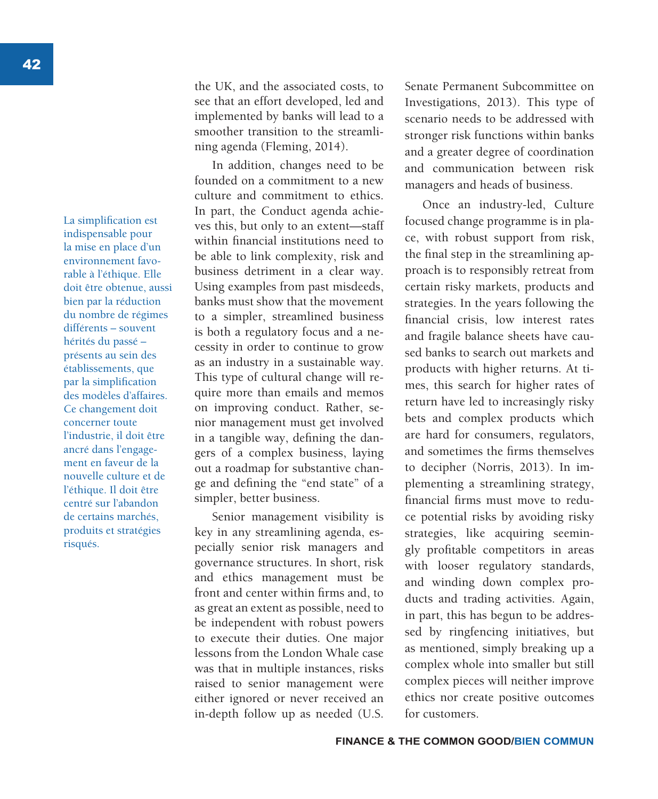La simplification est indispensable pour la mise en place d'un environnement favorable à l'éthique. Elle doit être obtenue, aussi bien par la réduction du nombre de régimes différents – souvent hérités du passé – présents au sein des établissements, que par la simplification des modèles d'affaires. Ce changement doit concerner toute l'industrie, il doit être ancré dans l'engagement en faveur de la nouvelle culture et de l'éthique. Il doit être centré sur l'abandon de certains marchés, produits et stratégies risqués.

the UK, and the associated costs, to see that an effort developed, led and implemented by banks will lead to a smoother transition to the streamlining agenda (Fleming, 2014).

In addition, changes need to be founded on a commitment to a new culture and commitment to ethics. In part, the Conduct agenda achieves this, but only to an extent—staff within financial institutions need to be able to link complexity, risk and business detriment in a clear way. Using examples from past misdeeds, banks must show that the movement to a simpler, streamlined business is both a regulatory focus and a necessity in order to continue to grow as an industry in a sustainable way. This type of cultural change will require more than emails and memos on improving conduct. Rather, senior management must get involved in a tangible way, defining the dangers of a complex business, laying out a roadmap for substantive change and defining the "end state" of a simpler, better business.

Senior management visibility is key in any streamlining agenda, especially senior risk managers and governance structures. In short, risk and ethics management must be front and center within firms and, to as great an extent as possible, need to be independent with robust powers to execute their duties. One major lessons from the London Whale case was that in multiple instances, risks raised to senior management were either ignored or never received an in-depth follow up as needed (U.S.

Senate Permanent Subcommittee on Investigations, 2013). This type of scenario needs to be addressed with stronger risk functions within banks and a greater degree of coordination and communication between risk managers and heads of business.

Once an industry-led, Culture focused change programme is in place, with robust support from risk, the final step in the streamlining approach is to responsibly retreat from certain risky markets, products and strategies. In the years following the financial crisis, low interest rates and fragile balance sheets have caused banks to search out markets and products with higher returns. At times, this search for higher rates of return have led to increasingly risky bets and complex products which are hard for consumers, regulators, and sometimes the firms themselves to decipher (Norris, 2013). In implementing a streamlining strategy, financial firms must move to reduce potential risks by avoiding risky strategies, like acquiring seemingly profitable competitors in areas with looser regulatory standards, and winding down complex products and trading activities. Again, in part, this has begun to be addressed by ringfencing initiatives, but as mentioned, simply breaking up a complex whole into smaller but still complex pieces will neither improve ethics nor create positive outcomes for customers.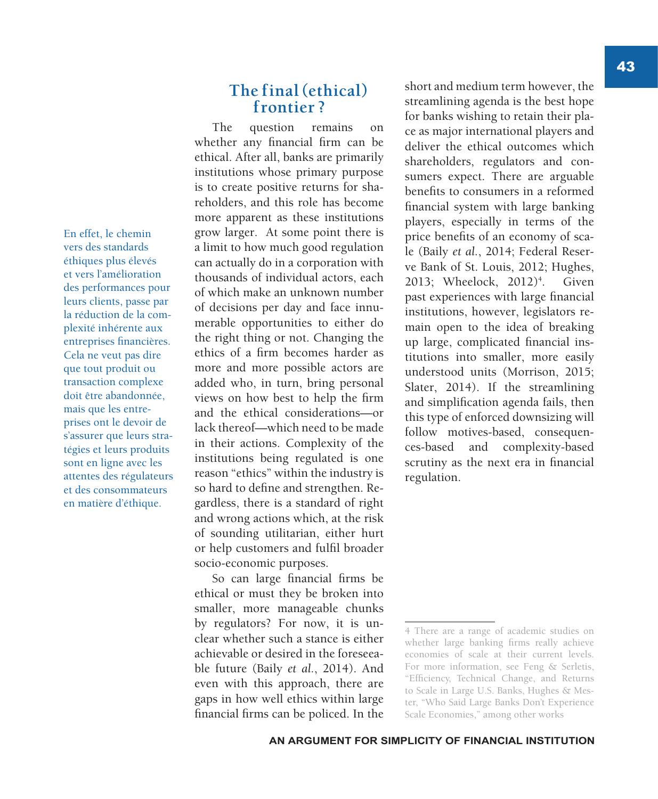En effet, le chemin vers des standards éthiques plus élevés et vers l'amélioration des performances pour leurs clients, passe par la réduction de la complexité inhérente aux entreprises financières. Cela ne veut pas dire que tout produit ou transaction complexe doit être abandonnée, mais que les entreprises ont le devoir de s'assurer que leurs stratégies et leurs produits sont en ligne avec les attentes des régulateurs et des consommateurs en matière d'éthique.

#### **The final (ethical) frontier ?**

The question remains on whether any financial firm can be ethical. After all, banks are primarily institutions whose primary purpose is to create positive returns for shareholders, and this role has become more apparent as these institutions grow larger. At some point there is a limit to how much good regulation can actually do in a corporation with thousands of individual actors, each of which make an unknown number of decisions per day and face innumerable opportunities to either do the right thing or not. Changing the ethics of a firm becomes harder as more and more possible actors are added who, in turn, bring personal views on how best to help the firm and the ethical considerations—or lack thereof—which need to be made in their actions. Complexity of the institutions being regulated is one reason "ethics" within the industry is so hard to define and strengthen. Regardless, there is a standard of right and wrong actions which, at the risk of sounding utilitarian, either hurt or help customers and fulfil broader socio-economic purposes.

So can large financial firms be ethical or must they be broken into smaller, more manageable chunks by regulators? For now, it is unclear whether such a stance is either achievable or desired in the foreseeable future (Baily *et al.*, 2014). And even with this approach, there are gaps in how well ethics within large financial firms can be policed. In the

short and medium term however, the streamlining agenda is the best hope for banks wishing to retain their place as major international players and deliver the ethical outcomes which shareholders, regulators and consumers expect. There are arguable benefits to consumers in a reformed financial system with large banking players, especially in terms of the price benefits of an economy of scale (Baily *et al.*, 2014; Federal Reserve Bank of St. Louis, 2012; Hughes, 2013; Wheelock, 2012)<sup>4</sup>. . Given past experiences with large financial institutions, however, legislators remain open to the idea of breaking up large, complicated financial institutions into smaller, more easily understood units (Morrison, 2015; Slater, 2014). If the streamlining and simplification agenda fails, then this type of enforced downsizing will follow motives-based, consequences-based and complexity-based scrutiny as the next era in financial regulation.

<sup>4</sup> There are a range of academic studies on whether large banking firms really achieve economies of scale at their current levels. For more information, see Feng & Serletis, "Efficiency, Technical Change, and Returns to Scale in Large U.S. Banks, Hughes & Mester, "Who Said Large Banks Don't Experience Scale Economies," among other works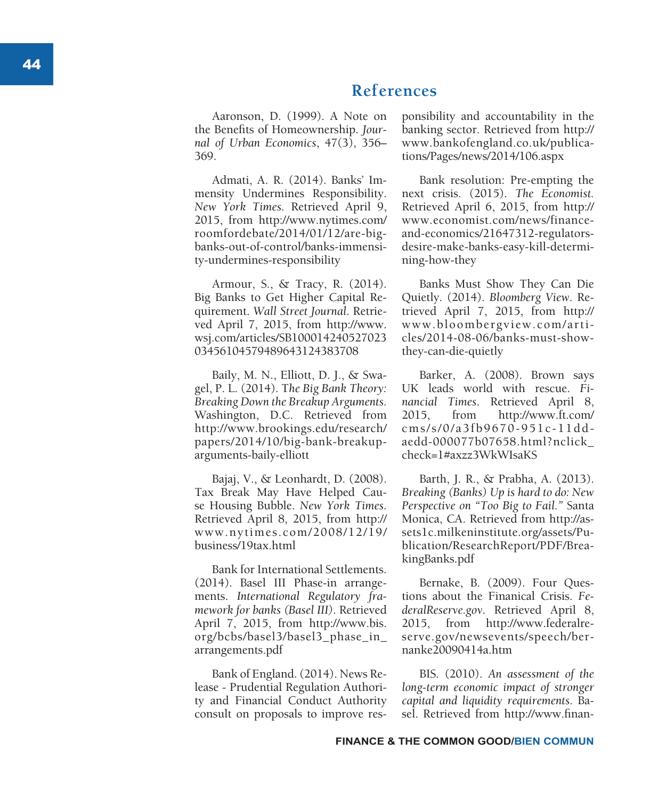## **References**

Aaronson, D. (1999). A Note on the Benefits of Homeownership. *Jour nal of Urban Economics*, 47(3), 356– 369.

Admati, A. R. (2014). Banks' Im mensity Undermines Responsibility. *New York Times*. Retrieved April 9, 2015, from http://www.nytimes.com/ roomfordebate/2014/01/12/are-bigbanks-out-of-control/banks-immensity-undermines-responsibility

Armour, S., & Tracy, R. (2014). Big Banks to Get Higher Capital Re quirement. *Wall Street Journal*. Retrie ved April 7, 2015, from http://www. wsj.com/articles/SB100014240527023 03456104579489643124383708

Baily, M. N., Elliott, D. J., & Swagel, P. L. (2014). T*he Big Bank Theory: Breaking Down the Breakup Arguments*. Washington, D.C. Retrieved from http://www.brookings.edu/research/ papers/2014/10/big-bank-breakuparguments-baily-elliott

Bajaj, V., & Leonhardt, D. (2008). Tax Break May Have Helped Cau se Housing Bubble. *New York Times*. Retrieved April 8, 2015, from http:// www.nytimes.com/2008/12/19/ business/19tax.html

Bank for International Settlements. (2014). Basel III Phase-in arrange ments. *International Regulatory fra mework for banks (Basel III)*. Retrieved April 7, 2015, from http://www.bis. org/bcbs/basel3/basel3\_phase\_in\_ arrangements.pdf

Bank of England. (2014). News Re lease - Prudential Regulation Authori ty and Financial Conduct Authority consult on proposals to improve res -

ponsibility and accountability in the banking sector. Retrieved from http:// www.bankofengland.co.uk/publica tions/Pages/news/2014/106.aspx

Bank resolution: Pre-empting the next crisis. (2015). *The Economist.*  Retrieved April 6, 2015, from http:// www.economist.com/news/financeand-economics/21647312-regulatorsdesire-make-banks-easy-kill-determining-how-they

Banks Must Show They Can Die Quietly. (2014). *Bloomberg View*. Re trieved April 7, 2015, from http:// www.bloombergview.com/arti cles/2014-08-06/banks-must-showthey-can-die-quietly

Barker, A. (2008). Brown says UK leads world with rescue. *Fi nancial Times*. Retrieved April 8, 2015, from http://www.ft.com/ cms/s/0/a3fb9670-951c-11ddaedd-000077b07658.html?nclick\_ check=1#axzz3WkWIsaKS

Barth, J. R., & Prabha, A. (2013). *Breaking (Banks) Up is hard to do: New Perspective on "Too Big to Fail."* Santa Monica, CA. Retrieved from http://as sets1c.milkeninstitute.org/assets/Pu blication/ResearchReport/PDF/Brea kingBanks.pdf

Bernake, B. (2009). Four Ques tions about the Finanical Crisis. *Fe deralReserve.gov*. Retrieved April 8, 2015, from http://www.federalre serve.gov/newsevents/speech/ber nanke20090414a.htm

BIS. (2010). *An assessment of the long-term economic impact of stronger capital and liquidity requirements*. Ba sel. Retrieved from http://www.finan -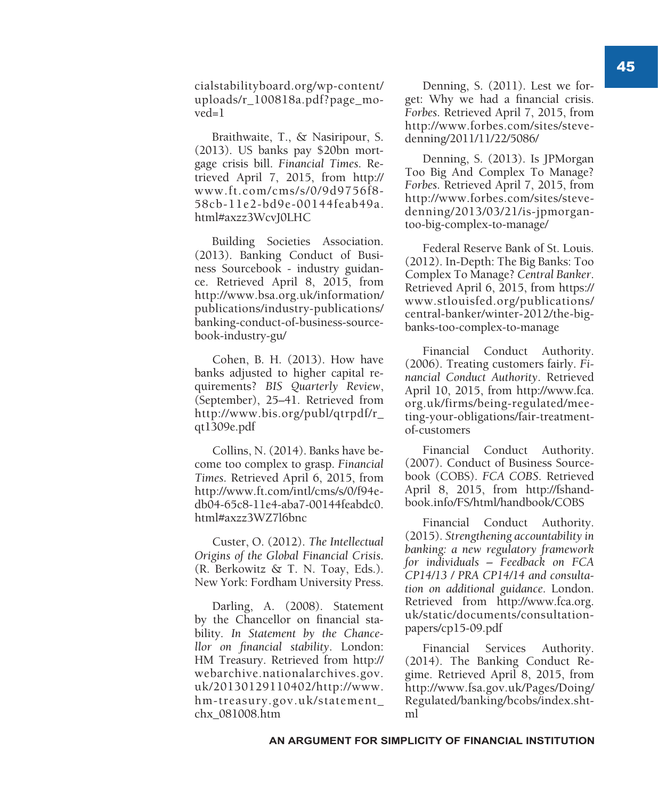cialstabilityboard.org/wp-content/ uploads/r\_100818a.pdf?page\_mo $ved=1$ 

Braithwaite, T., & Nasiripour, S. (2013). US banks pay \$20bn mortgage crisis bill. *Financial Times*. Retrieved April 7, 2015, from http:// www.ft.com/cms/s/0/9d9756f8- 58cb-11e2-bd9e-00144feab49a. html#axzz3WcvJ0LHC

Building Societies Association. (2013). Banking Conduct of Business Sourcebook - industry guidance. Retrieved April 8, 2015, from http://www.bsa.org.uk/information/ publications/industry-publications/ banking-conduct-of-business-sourcebook-industry-gu/

Cohen, B. H. (2013). How have banks adjusted to higher capital requirements? *BIS Quarterly Review*, (September), 25–41. Retrieved from http://www.bis.org/publ/qtrpdf/r\_ qt1309e.pdf

Collins, N. (2014). Banks have become too complex to grasp. *Financial Times*. Retrieved April 6, 2015, from http://www.ft.com/intl/cms/s/0/f94edb04-65c8-11e4-aba7-00144feabdc0. html#axzz3WZ7l6bnc

Custer, O. (2012). *The Intellectual Origins of the Global Financial Crisis*. (R. Berkowitz & T. N. Toay, Eds.). New York: Fordham University Press.

Darling, A. (2008). Statement by the Chancellor on financial stability. *In Statement by the Chancellor on financial stability*. London: HM Treasury. Retrieved from http:// webarchive.nationalarchives.gov. uk/20130129110402/http://www. hm-treasury.gov.uk/statement\_ chx\_081008.htm

Denning, S. (2011). Lest we forget: Why we had a financial crisis. *Forbes*. Retrieved April 7, 2015, from http://www.forbes.com/sites/stevedenning/2011/11/22/5086/

Denning, S. (2013). Is JPMorgan Too Big And Complex To Manage? *Forbes*. Retrieved April 7, 2015, from http://www.forbes.com/sites/stevedenning/2013/03/21/is-jpmorgantoo-big-complex-to-manage/

Federal Reserve Bank of St. Louis. (2012). In-Depth: The Big Banks: Too Complex To Manage? *Central Banker*. Retrieved April 6, 2015, from https:// www.stlouisfed.org/publications/ central-banker/winter-2012/the-bigbanks-too-complex-to-manage

Financial Conduct Authority. (2006). Treating customers fairly. *Financial Conduct Authority*. Retrieved April 10, 2015, from http://www.fca. org.uk/firms/being-regulated/meeting-your-obligations/fair-treatmentof-customers

Financial Conduct Authority. (2007). Conduct of Business Sourcebook (COBS). *FCA COBS*. Retrieved April 8, 2015, from http://fshandbook.info/FS/html/handbook/COBS

Financial Conduct Authority. (2015). *Strengthening accountability in banking: a new regulatory framework for individuals – Feedback on FCA CP14/13 / PRA CP14/14 and consultation on additional guidance*. London. Retrieved from http://www.fca.org. uk/static/documents/consultationpapers/cp15-09.pdf

Financial Services Authority. (2014). The Banking Conduct Regime. Retrieved April 8, 2015, from http://www.fsa.gov.uk/Pages/Doing/ Regulated/banking/bcobs/index.shtml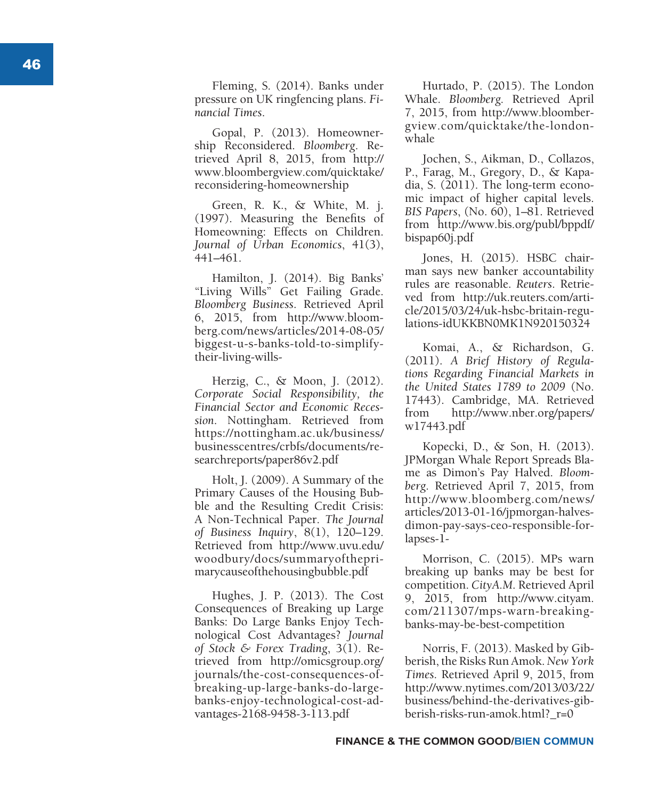Fleming, S. (2014). Banks under pressure on UK ringfencing plans. *Fi nancial Times* .

Gopal, P. (2013). Homeowner ship Reconsidered. *Bloomberg*. Re trieved April 8, 2015, from http:// www.bloombergview.com/quicktake/ reconsidering-homeownership

Green, R. K., & White, M. j. (1997). Measuring the Benefits of Homeowning: Effects on Children. *Journal of Urban Economics*, 41(3), 441–461.

Hamilton, J. (2014). Big Banks' "Living Wills" Get Failing Grade. *Bloomberg Business*. Retrieved April 6, 2015, from http://www.bloom berg.com/news/articles/2014-08-05/ biggest-u-s-banks-told-to-simplifytheir-living-wills-

Herzig, C., & Moon, J. (2012). *Corporate Social Responsibility, the Financial Sector and Economic Reces sion*. Nottingham. Retrieved from https://nottingham.ac.uk/business/ businesscentres/crbfs/documents/re searchreports/paper86v2.pdf

Holt, J. (2009). A Summary of the Primary Causes of the Housing Bub ble and the Resulting Credit Crisis: A Non-Technical Paper. *The Journal of Business Inquiry*, 8(1), 120–129. Retrieved from http://www.uvu.edu/ woodbury/docs/summaryofthepri marycauseofthehousingbubble.pdf

Hughes, J. P. (2013). The Cost Consequences of Breaking up Large Banks: Do Large Banks Enjoy Tech nological Cost Advantages? *Journal of Stock & Forex Trading*, 3(1). Re trieved from http://omicsgroup.org/ journals/the-cost-consequences-ofbreaking-up-large-banks-do-largebanks-enjoy-technological-cost-advantages-2168-9458-3-113.pdf

Hurtado, P. (2015). The London Whale. *Bloomberg.* Retrieved April 7, 2015, from http://www.bloomber gview.com/quicktake/the-londonwhale

Jochen, S., Aikman, D., Collazos, P., Farag, M., Gregory, D., & Kapa dia, S. (2011). The long-term econo mic impact of higher capital levels. *BIS Papers*, (No. 60), 1–81. Retrieved from http://www.bis.org/publ/bppdf/ bispap60j.pdf

Jones, H. (2015). HSBC chair man says new banker accountability rules are reasonable. *Reuters*. Retrie ved from http://uk.reuters.com/arti cle/2015/03/24/uk-hsbc-britain-regu lations-idUKKBN0MK1N920150324

Komai, A., & Richardson, G. (2011). *A Brief History of Regula tions Regarding Financial Markets in the United States 1789 to 2009* (No. 17443). Cambridge, MA. Retrieved from http://www.nber.org/papers/ w17443.pdf

Kopecki, D., & Son, H. (2013). JPMorgan Whale Report Spreads Bla me as Dimon's Pay Halved. *Bloom berg*. Retrieved April 7, 2015, from http://www.bloomberg.com/news/ articles/2013-01-16/jpmorgan-halvesdimon-pay-says-ceo-responsible-forlapses-1-

Morrison, C. (2015). MPs warn breaking up banks may be best for competition. *CityA.M*. Retrieved April 9, 2015, from http://www.cityam. com/211307/mps-warn-breakingbanks-may-be-best-competition

Norris, F. (2013). Masked by Gib berish, the Risks Run Amok. *New York Times*. Retrieved April 9, 2015, from http://www.nytimes.com/2013/03/22/ business/behind-the-derivatives-gib berish-risks-run-amok.html?\_r=0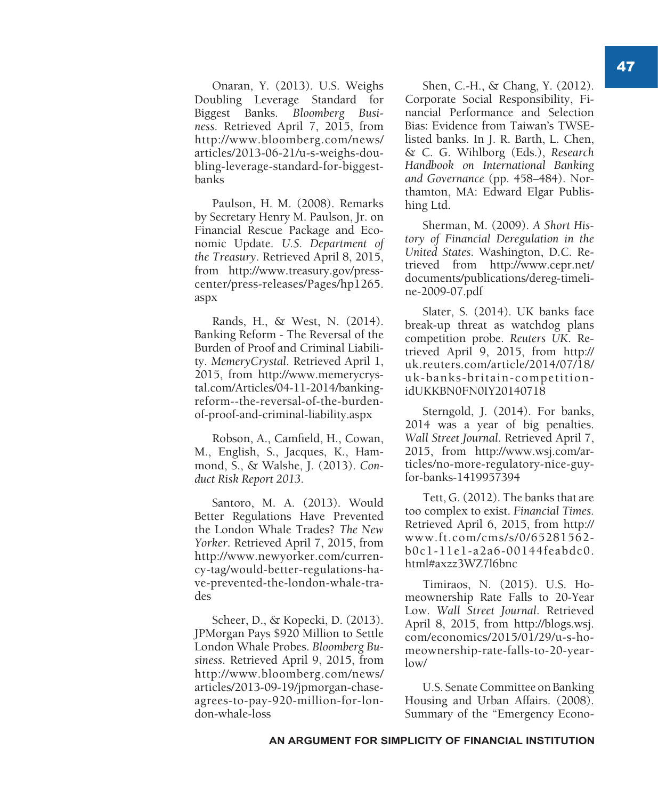Onaran, Y. (2013). U.S. Weighs Doubling Leverage Standard for Biggest Banks. *Bloomberg Business*. Retrieved April 7, 2015, from http://www.bloomberg.com/news/ articles/2013-06-21/u-s-weighs-doubling-leverage-standard-for-biggestbanks

Paulson, H. M. (2008). Remarks by Secretary Henry M. Paulson, Jr. on Financial Rescue Package and Economic Update. *U.S. Department of the Treasury*. Retrieved April 8, 2015, from http://www.treasury.gov/presscenter/press-releases/Pages/hp1265. aspx

Rands, H., & West, N. (2014). Banking Reform - The Reversal of the Burden of Proof and Criminal Liability. *MemeryCrystal*. Retrieved April 1, 2015, from http://www.memerycrystal.com/Articles/04-11-2014/bankingreform--the-reversal-of-the-burdenof-proof-and-criminal-liability.aspx

Robson, A., Camfield, H., Cowan, M., English, S., Jacques, K., Hammond, S., & Walshe, J. (2013). *Conduct Risk Report 2013*.

Santoro, M. A. (2013). Would Better Regulations Have Prevented the London Whale Trades? *The New Yorker*. Retrieved April 7, 2015, from http://www.newyorker.com/currency-tag/would-better-regulations-have-prevented-the-london-whale-trades

Scheer, D., & Kopecki, D. (2013). JPMorgan Pays \$920 Million to Settle London Whale Probes. *Bloomberg Business*. Retrieved April 9, 2015, from http://www.bloomberg.com/news/ articles/2013-09-19/jpmorgan-chaseagrees-to-pay-920-million-for-london-whale-loss

Shen, C.-H., & Chang, Y. (2012). Corporate Social Responsibility, Financial Performance and Selection Bias: Evidence from Taiwan's TWSElisted banks. In J. R. Barth, L. Chen, & C. G. Wihlborg (Eds.), *Research Handbook on International Banking and Governance* (pp. 458–484). Northamton, MA: Edward Elgar Publishing Ltd.

Sherman, M. (2009). *A Short History of Financial Deregulation in the United States*. Washington, D.C. Retrieved from http://www.cepr.net/ documents/publications/dereg-timeline-2009-07.pdf

Slater, S. (2014). UK banks face break-up threat as watchdog plans competition probe. *Reuters UK*. Retrieved April 9, 2015, from http:// uk.reuters.com/article/2014/07/18/ uk-banks-britain-competitionidUKKBN0FN0IY20140718

Sterngold, J. (2014). For banks, 2014 was a year of big penalties. *Wall Street Journal*. Retrieved April 7, 2015, from http://www.wsj.com/articles/no-more-regulatory-nice-guyfor-banks-1419957394

Tett, G. (2012). The banks that are too complex to exist. *Financial Times.*  Retrieved April 6, 2015, from http:// www.ft.com/cms/s/0/65281562 b0c1-11e1-a2a6-00144feabdc0. html#axzz3WZ7l6bnc

Timiraos, N. (2015). U.S. Homeownership Rate Falls to 20-Year Low. *Wall Street Journal*. Retrieved April 8, 2015, from http://blogs.wsj. com/economics/2015/01/29/u-s-homeownership-rate-falls-to-20-yearlow/

U.S. Senate Committee on Banking Housing and Urban Affairs. (2008). Summary of the "Emergency Econo-